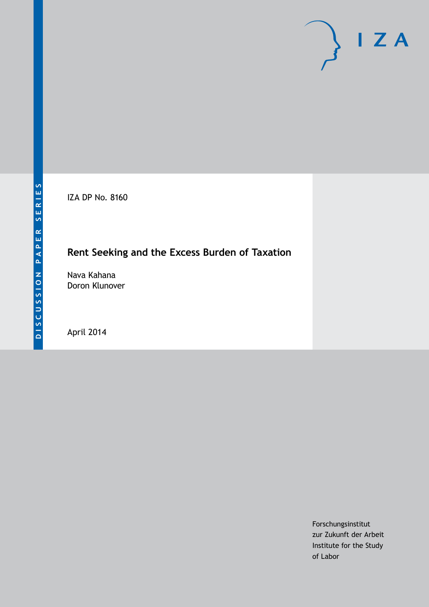IZA DP No. 8160

# **Rent Seeking and the Excess Burden of Taxation**

Nava Kahana Doron Klunover

April 2014

Forschungsinstitut zur Zukunft der Arbeit Institute for the Study of Labor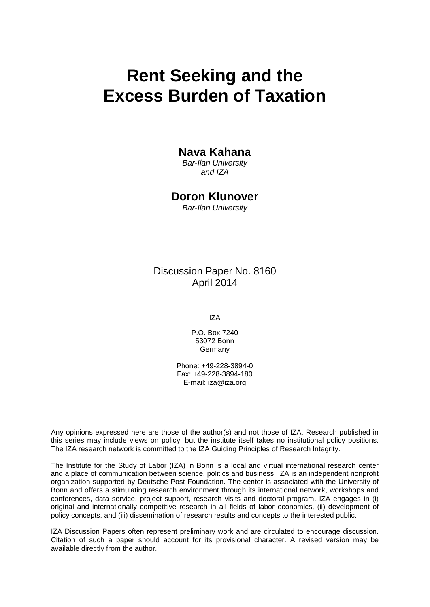# **Rent Seeking and the Excess Burden of Taxation**

# **Nava Kahana**

*Bar-Ilan University and IZA*

# **Doron Klunover**

*Bar-Ilan University*

Discussion Paper No. 8160 April 2014

IZA

P.O. Box 7240 53072 Bonn Germany

Phone: +49-228-3894-0 Fax: +49-228-3894-180 E-mail: [iza@iza.org](mailto:iza@iza.org)

Any opinions expressed here are those of the author(s) and not those of IZA. Research published in this series may include views on policy, but the institute itself takes no institutional policy positions. The IZA research network is committed to the IZA Guiding Principles of Research Integrity.

The Institute for the Study of Labor (IZA) in Bonn is a local and virtual international research center and a place of communication between science, politics and business. IZA is an independent nonprofit organization supported by Deutsche Post Foundation. The center is associated with the University of Bonn and offers a stimulating research environment through its international network, workshops and conferences, data service, project support, research visits and doctoral program. IZA engages in (i) original and internationally competitive research in all fields of labor economics, (ii) development of policy concepts, and (iii) dissemination of research results and concepts to the interested public.

<span id="page-1-0"></span>IZA Discussion Papers often represent preliminary work and are circulated to encourage discussion. Citation of such a paper should account for its provisional character. A revised version may be available directly from the author.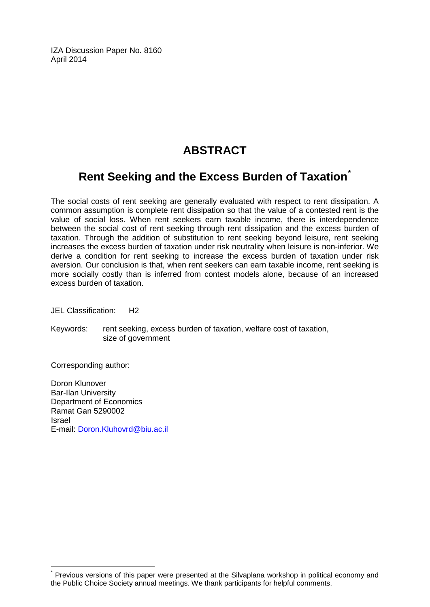IZA Discussion Paper No. 8160 April 2014

# **ABSTRACT**

# **Rent Seeking and the Excess Burden of Taxation[\\*](#page-1-0)**

The social costs of rent seeking are generally evaluated with respect to rent dissipation. A common assumption is complete rent dissipation so that the value of a contested rent is the value of social loss. When rent seekers earn taxable income, there is interdependence between the social cost of rent seeking through rent dissipation and the excess burden of taxation. Through the addition of substitution to rent seeking beyond leisure, rent seeking increases the excess burden of taxation under risk neutrality when leisure is non-inferior. We derive a condition for rent seeking to increase the excess burden of taxation under risk aversion. Our conclusion is that, when rent seekers can earn taxable income, rent seeking is more socially costly than is inferred from contest models alone, because of an increased excess burden of taxation.

JEL Classification: H2

Keywords: rent seeking, excess burden of taxation, welfare cost of taxation, size of government

Corresponding author:

Doron Klunover Bar-Ilan University Department of Economics Ramat Gan 5290002 Israel E-mail: [Doron.Kluhovrd@biu.ac.il](mailto:Doron.Kluhovrd@biu.ac.il)

Previous versions of this paper were presented at the Silvaplana workshop in political economy and the Public Choice Society annual meetings. We thank participants for helpful comments.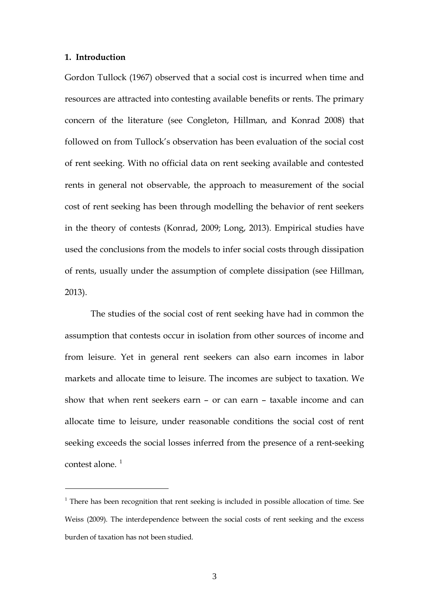#### **1. Introduction**

 $\overline{a}$ 

Gordon Tullock (1967) observed that a social cost is incurred when time and resources are attracted into contesting available benefits or rents. The primary concern of the literature (see Congleton, Hillman, and Konrad 2008) that followed on from Tullock's observation has been evaluation of the social cost of rent seeking. With no official data on rent seeking available and contested rents in general not observable, the approach to measurement of the social cost of rent seeking has been through modelling the behavior of rent seekers in the theory of contests (Konrad, 2009; Long, 2013). Empirical studies have used the conclusions from the models to infer social costs through dissipation of rents, usually under the assumption of complete dissipation (see Hillman, 2013).

The studies of the social cost of rent seeking have had in common the assumption that contests occur in isolation from other sources of income and from leisure. Yet in general rent seekers can also earn incomes in labor markets and allocate time to leisure. The incomes are subject to taxation. We show that when rent seekers earn – or can earn – taxable income and can allocate time to leisure, under reasonable conditions the social cost of rent seeking exceeds the social losses inferred from the presence of a rent-seeking contest alone.<sup>1</sup>

<sup>&</sup>lt;sup>1</sup> There has been recognition that rent seeking is included in possible allocation of time. See Weiss (2009). The interdependence between the social costs of rent seeking and the excess burden of taxation has not been studied.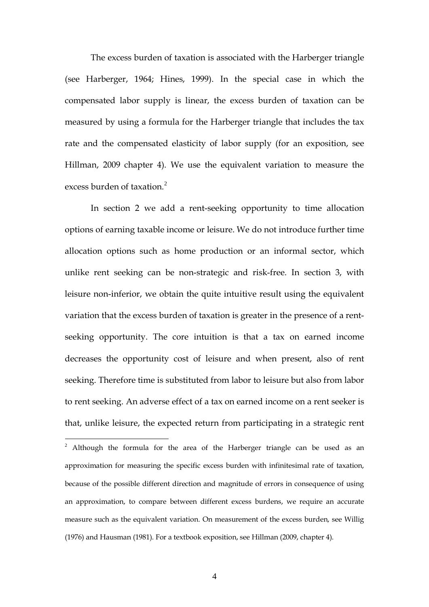The excess burden of taxation is associated with the Harberger triangle (see Harberger, 1964; Hines, 1999). In the special case in which the compensated labor supply is linear, the excess burden of taxation can be measured by using a formula for the Harberger triangle that includes the tax rate and the compensated elasticity of labor supply (for an exposition, see Hillman, 2009 chapter 4). We use the equivalent variation to measure the excess burden of taxation.<sup>2</sup>

In section 2 we add a rent-seeking opportunity to time allocation options of earning taxable income or leisure. We do not introduce further time allocation options such as home production or an informal sector, which unlike rent seeking can be non-strategic and risk-free. In section 3, with leisure non-inferior, we obtain the quite intuitive result using the equivalent variation that the excess burden of taxation is greater in the presence of a rentseeking opportunity. The core intuition is that a tax on earned income decreases the opportunity cost of leisure and when present, also of rent seeking. Therefore time is substituted from labor to leisure but also from labor to rent seeking. An adverse effect of a tax on earned income on a rent seeker is that, unlike leisure, the expected return from participating in a strategic rent

<sup>&</sup>lt;sup>2</sup> Although the formula for the area of the Harberger triangle can be used as an approximation for measuring the specific excess burden with infinitesimal rate of taxation, because of the possible different direction and magnitude of errors in consequence of using an approximation, to compare between different excess burdens, we require an accurate measure such as the equivalent variation. On measurement of the excess burden, see Willig (1976) and Hausman (1981). For a textbook exposition, see Hillman (2009, chapter 4).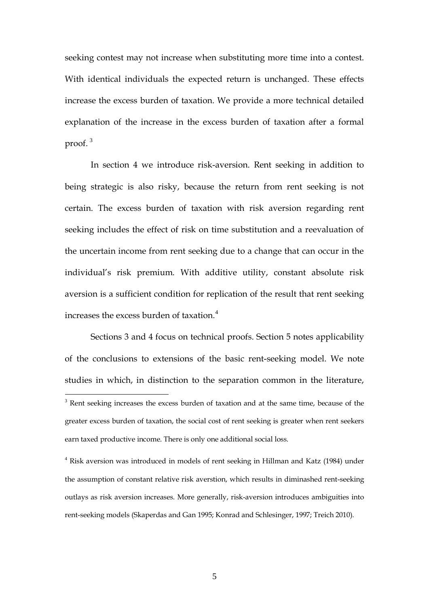seeking contest may not increase when substituting more time into a contest. With identical individuals the expected return is unchanged. These effects increase the excess burden of taxation. We provide a more technical detailed explanation of the increase in the excess burden of taxation after a formal proof.<sup>3</sup>

In section 4 we introduce risk-aversion. Rent seeking in addition to being strategic is also risky, because the return from rent seeking is not certain. The excess burden of taxation with risk aversion regarding rent seeking includes the effect of risk on time substitution and a reevaluation of the uncertain income from rent seeking due to a change that can occur in the individual's risk premium. With additive utility, constant absolute risk aversion is a sufficient condition for replication of the result that rent seeking increases the excess burden of taxation.<sup>4</sup>

Sections 3 and 4 focus on technical proofs. Section 5 notes applicability of the conclusions to extensions of the basic rent-seeking model. We note studies in which, in distinction to the separation common in the literature, <sup>3</sup> Rent seeking increases the excess burden of taxation and at the same time, because of the

<sup>4</sup> Risk aversion was introduced in models of rent seeking in Hillman and Katz (1984) under the assumption of constant relative risk averstion, which results in diminashed rent-seeking outlays as risk aversion increases. More generally, risk-aversion introduces ambiguities into rent-seeking models (Skaperdas and Gan 1995; Konrad and Schlesinger, 1997; Treich 2010).

greater excess burden of taxation, the social cost of rent seeking is greater when rent seekers earn taxed productive income. There is only one additional social loss.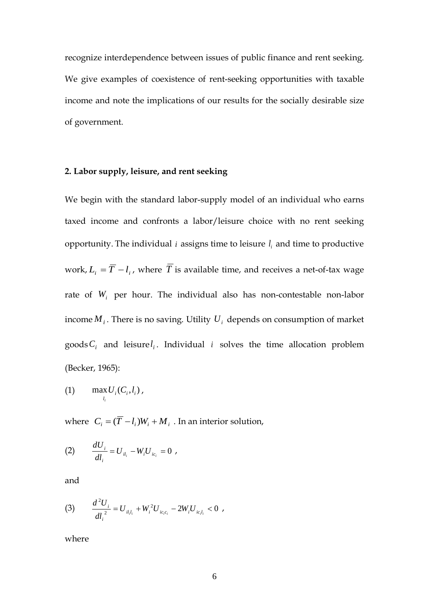recognize interdependence between issues of public finance and rent seeking. We give examples of coexistence of rent-seeking opportunities with taxable income and note the implications of our results for the socially desirable size of government.

# **2. Labor supply, leisure, and rent seeking**

We begin with the standard labor-supply model of an individual who earns taxed income and confronts a labor/leisure choice with no rent seeking opportunity. The individual  $i$  assigns time to leisure  $l_i$  and time to productive work,  $L_i = \overline{T} - l_i$ , where  $\overline{T}$  is available time, and receives a net-of-tax wage rate of *W<sub>i</sub>* per hour. The individual also has non-contestable non-labor income  $M_i$ . There is no saving. Utility  $U_i$  depends on consumption of market goods  $C_i$  and leisure  $l_i$ . Individual *i* solves the time allocation problem (Becker, 1965):

$$
(1) \qquad \max_{l_i} U_i(C_i, l_i)\,,
$$

where  $C_i = (\overline{T} - l_i)W_i + M_i$ . In an interior solution,

(2) 
$$
\frac{dU_i}{dl_i} = U_{il_i} - W_i U_{ic_i} = 0,
$$

and

(3) 
$$
\frac{d^2U_i}{dl_i^2} = U_{il_i l_i} + W_i^2 U_{ic_i c_i} - 2W_i U_{ic_i l_i} < 0,
$$

where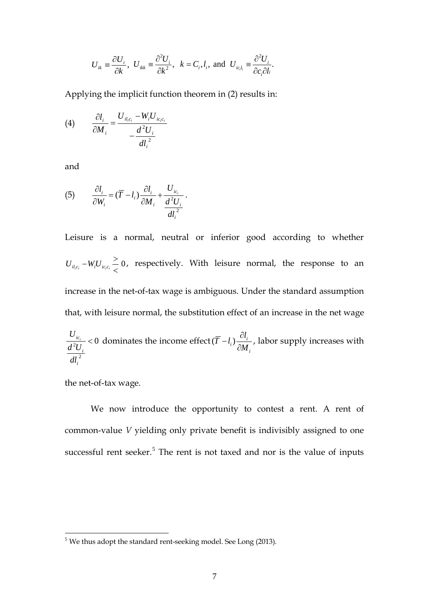$$
U_{ik} \equiv \frac{\partial U_i}{\partial k}
$$
,  $U_{ikk} \equiv \frac{\partial^2 U_i}{\partial k^2}$ ,  $k = C_i, l_i$ , and  $U_{ic_i l_i} \equiv \frac{\partial^2 U_i}{\partial c_i \partial l_i}$ .

Applying the implicit function theorem in (2) results in:

$$
(4) \qquad \frac{\partial l_i}{\partial M_i} = \frac{U_{il_ic_i} - W_i U_{ic_ic_i}}{-\frac{d^2 U_i}{dl_i^2}}
$$

and

(5) 
$$
\frac{\partial l_i}{\partial W_i} = (\overline{T} - l_i) \frac{\partial l_i}{\partial M_i} + \frac{U_{ic_i}}{d^2 U_i}.
$$

Leisure is a normal, neutral or inferior good according to whether  $\boldsymbol{0}$  $U_{i_{l,c_i}} - W_i U_{i_{c_ic_i}} \geq 0$ , respectively. With leisure normal, the response to an increase in the net-of-tax wage is ambiguous. Under the standard assumption that, with leisure normal, the substitution effect of an increase in the net wage

$$
\frac{U_{ic_i}}{d^2 U_i} < 0
$$
 dominates the income effect  $(\overline{T} - l_i) \frac{\partial l_i}{\partial M_i}$ , labor supply increases with 
$$
\frac{d^2 U_i}{d l_i^2}
$$

the net-of-tax wage.

We now introduce the opportunity to contest a rent. A rent of common-value *V* yielding only private benefit is indivisibly assigned to one successful rent seeker.<sup>5</sup> The rent is not taxed and nor is the value of inputs

<sup>&</sup>lt;sup>5</sup> We thus adopt the standard rent-seeking model. See Long (2013).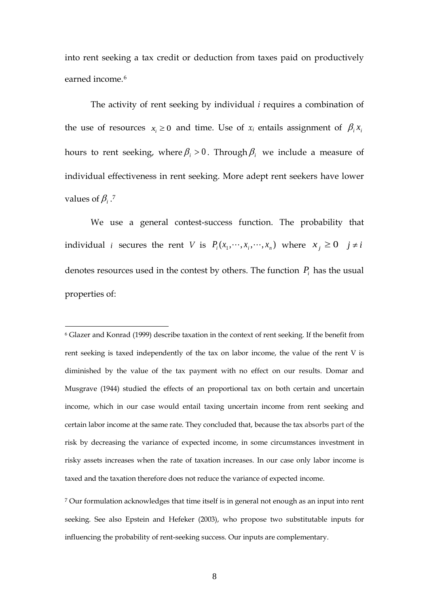into rent seeking a tax credit or deduction from taxes paid on productively earned income.<sup>6</sup>

The activity of rent seeking by individual *i* requires a combination of the use of resources  $x_i \geq 0$  and time. Use of  $x_i$  entails assignment of  $\beta_i x_i$ hours to rent seeking, where  $\beta_i > 0$ . Through  $\beta_i$  we include a measure of individual effectiveness in rent seeking. More adept rent seekers have lower values of  $\beta_i$  .<sup>7</sup>

We use a general contest-success function. The probability that individual *i* secures the rent *V* is  $P_i(x_1, \dots, x_i, \dots, x_n)$  where  $x_j \ge 0$   $j \ne i$ denotes resources used in the contest by others. The function  $P_i$  has the usual properties of:

 $\overline{a}$ 

<sup>6</sup> Glazer and Konrad (1999) describe taxation in the context of rent seeking. If the benefit from rent seeking is taxed independently of the tax on labor income, the value of the rent V is diminished by the value of the tax payment with no effect on our results. Domar and Musgrave (1944) studied the effects of an proportional tax on both certain and uncertain income, which in our case would entail taxing uncertain income from rent seeking and certain labor income at the same rate. They concluded that, because the tax absorbs part of the risk by decreasing the variance of expected income, in some circumstances investment in risky assets increases when the rate of taxation increases. In our case only labor income is taxed and the taxation therefore does not reduce the variance of expected income.

<sup>7</sup> Our formulation acknowledges that time itself is in general not enough as an input into rent seeking. See also Epstein and Hefeker (2003), who propose two substitutable inputs for influencing the probability of rent-seeking success. Our inputs are complementary.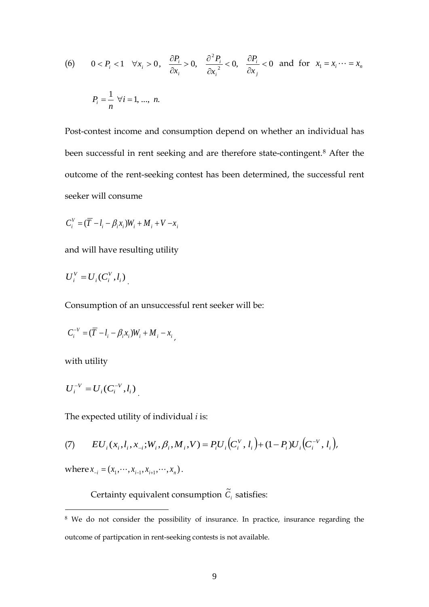(6) 
$$
0 < P_i < 1 \quad \forall x_i > 0, \quad \frac{\partial P_i}{\partial x_i} > 0, \quad \frac{\partial^2 P_i}{\partial x_i^2} < 0, \quad \frac{\partial P_i}{\partial x_j} < 0 \text{ and for } x_1 = x_i \dots = x_n
$$
  

$$
P_i = \frac{1}{n} \quad \forall i = 1, \dots, n.
$$

Post-contest income and consumption depend on whether an individual has been successful in rent seeking and are therefore state-contingent.<sup>8</sup> After the outcome of the rent-seeking contest has been determined, the successful rent seeker will consume

$$
C_i^V = (\overline{T} - l_i - \beta_i x_i)W_i + M_i + V - x_i
$$

and will have resulting utility

$$
U_i^V = U_i(C_i^V, l_i)
$$

Consumption of an unsuccessful rent seeker will be:

$$
C_i^{-V} = (\overline{T} - l_i - \beta_i x_i)W_i + M_i - x_i,
$$

with utility

 $\overline{a}$ 

$$
U_i^{-V} = U_i(C_i^{-V}, l_i)
$$

The expected utility of individual *i* is:

(7) 
$$
EU_i(x_i, l_i, x_{-i}; W_i, \beta_i, M_i, V) = P_i U_i(C_i^V, l_i) + (1 - P_i) U_i(C_i^{-V}, l_i),
$$

where  $x_{-i} = (x_1, \dots, x_{i-1}, x_{i+1}, \dots, x_n)$ .

Certainty equivalent consumption  $\tilde{C}_i$  satisfies:

<sup>8</sup> We do not consider the possibility of insurance. In practice, insurance regarding the outcome of partipcation in rent-seeking contests is not available.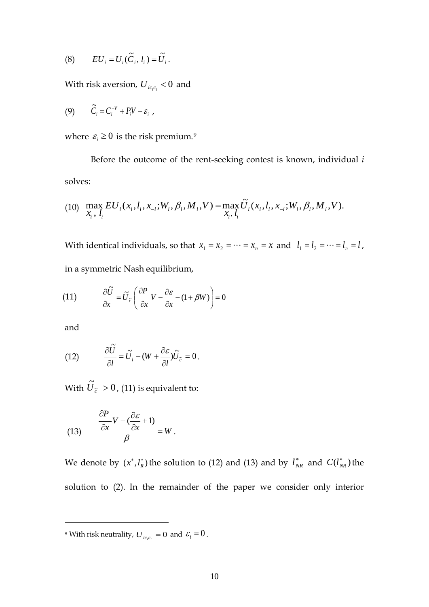$$
(8) \qquad EU_i = U_i(\widetilde{C}_i, l_i) = \widetilde{U}_i.
$$

With risk aversion,  $U_{ic,c_i} < 0$  and

$$
(9) \qquad \tilde{C}_i = C_i^{-V} + P_i V - \varepsilon_i ,
$$

where  $\varepsilon_i \geq 0$  is the risk premium.<sup>9</sup>

Before the outcome of the rent-seeking contest is known, individual *i* solves:

(10) 
$$
\max_{X_i, l_i} EU_i(x_i, l_i, x_{-i}; W_i, \beta_i, M_i, V) = \max_{X_i, l_i} \widetilde{U}_i(x_i, l_i, x_{-i}; W_i, \beta_i, M_i, V).
$$

With identical individuals, so that  $x_1 = x_2 = \cdots = x_n = x$  and  $l_1 = l_2 = \cdots = l_n = l$ , in a symmetric Nash equilibrium,

(11) 
$$
\frac{\partial \tilde{U}}{\partial x} = \tilde{U}_{\tilde{c}} \left( \frac{\partial P}{\partial x} V - \frac{\partial \varepsilon}{\partial x} - (1 + \beta W) \right) = 0
$$

and

 $\overline{a}$ 

(12) 
$$
\frac{\partial \tilde{U}}{\partial l} = \tilde{U}_l - (W + \frac{\partial \varepsilon}{\partial l}) \tilde{U}_{\tilde{c}} = 0.
$$

With  $\widetilde{U}_{\widetilde{c}} > 0$ , (11) is equivalent to:

(13) 
$$
\frac{\frac{\partial P}{\partial x}V - (\frac{\partial \varepsilon}{\partial x} + 1)}{\beta} = W.
$$

We denote by  $(x^*, l_R^*)$  the solution to (12) and (13) and by  $l_{NR}^*$  and  $C(l_{NR}^*)$  the solution to (2). In the remainder of the paper we consider only interior

<sup>9</sup> With risk neutrality,  $U_{ic_ic_i} = 0$  and  $\varepsilon_i = 0$ .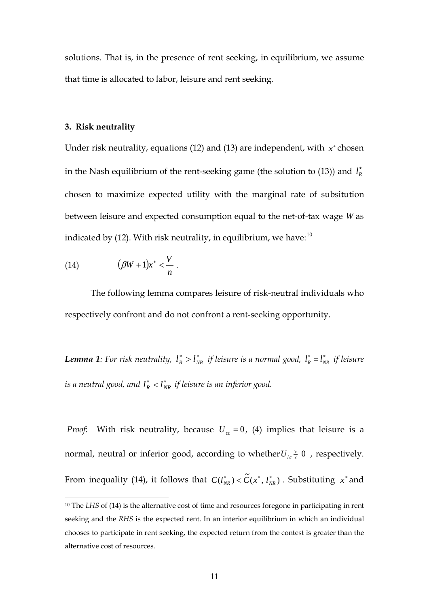solutions. That is, in the presence of rent seeking, in equilibrium, we assume that time is allocated to labor, leisure and rent seeking.

#### **3. Risk neutrality**

Under risk neutrality, equations (12) and (13) are independent, with  $x^*$  chosen in the Nash equilibrium of the rent-seeking game (the solution to  $(13)$ ) and  $l_R^*$ chosen to maximize expected utility with the marginal rate of subsitution between leisure and expected consumption equal to the net-of-tax wage *W* as indicated by (12). With risk neutrality, in equilibrium, we have:<sup>10</sup>

$$
(14) \qquad (\beta W+1)x^*<\frac{V}{n}.
$$

 $\overline{a}$ 

The following lemma compares leisure of risk-neutral individuals who respectively confront and do not confront a rent-seeking opportunity.

*Lemma 1:* **For risk neutrality,**  $l_R^* > l_{NR}^*$  **if leisure is a normal good,**  $l_R^* = l_{NR}^*$  **if leisure**  $\iota$  *is a neutral good, and*  $l^*_R < l^*_{NR}$  *if leisure is an inferior good.* 

*Proof*: With risk neutrality, because  $U_{cc} = 0$ , (4) implies that leisure is a normal, neutral or inferior good, according to whether  $U_{lc} \geq 0$  , respectively. From inequality (14), it follows that  $C(l_{NR}^*) < \tilde{C}(x^*, l_{NR}^*)$ . Substituting  $x^*$  and

<sup>&</sup>lt;sup>10</sup> The *LHS* of (14) is the alternative cost of time and resources foregone in participating in rent seeking and the *RHS* is the expected rent. In an interior equilibrium in which an individual chooses to participate in rent seeking, the expected return from the contest is greater than the alternative cost of resources.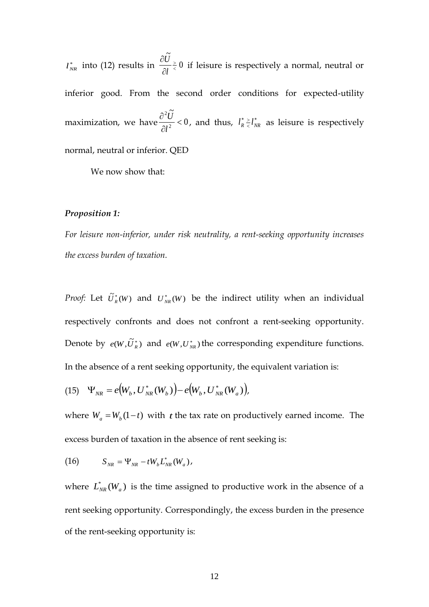$l_{NR}^{*}$  into (12) results in  $\frac{80}{\pi} \frac{3}{5}$  0 .<br>آ  $\prec$ > ∂ ∂ *l*  $\frac{U}{2V} \ge 0$  if leisure is respectively a normal, neutral or inferior good. From the second order conditions for expected-utility maximization, we have  $\frac{60}{\sigma v^2}$  < 0 .<br>آ 2 2  $\lt$ ∂ ∂ *l*  $\frac{U}{\mu^2}$  < 0, and thus,  $l_R^* \frac{v}{\epsilon} l_R^*$  $l_R^* \ge l_{NR}^*$  as leisure is respectively normal, neutral or inferior. QED

We now show that:

#### *Proposition 1:*

*For leisure non-inferior, under risk neutrality, a rent-seeking opportunity increases the excess burden of taxation.*

*Proof:* Let  $\tilde{U}_R^*(W)$  and  $U_{NR}^*(W)$  be the indirect utility when an individual respectively confronts and does not confront a rent-seeking opportunity. Denote by  $e(W, \tilde{U}_R^*)$  and  $e(W, U_{NR}^*)$  the corresponding expenditure functions. In the absence of a rent seeking opportunity, the equivalent variation is:

(15) 
$$
\Psi_{NR} = e(W_b, U^*_{NR}(W_b)) - e(W_b, U^*_{NR}(W_a))
$$
,

where  $W_a = W_b(1-t)$  with *t* the tax rate on productively earned income. The excess burden of taxation in the absence of rent seeking is:

(16) 
$$
S_{_{NR}} = \Psi_{_{NR}} - tW_{_{b}}L_{_{NR}}^{*}(W_{_{a}}),
$$

where  $L_{NR}^*(W_a)$  is the time assigned to productive work in the absence of a rent seeking opportunity. Correspondingly, the excess burden in the presence of the rent-seeking opportunity is: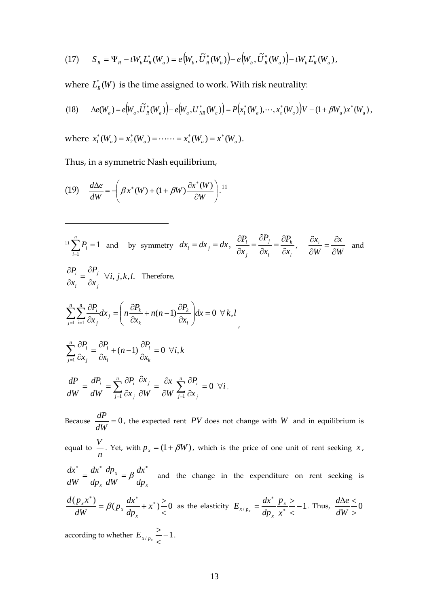(17) 
$$
S_R = \Psi_R - tW_b L_R^*(W_a) = e(W_b, \tilde{U}_R^*(W_b)) - e(W_b, \tilde{U}_R^*(W_a)) - tW_b L_R^*(W_a),
$$

where  $L^{*}_{\mathit{R}}(W)$  is the time assigned to work. With risk neutrality:

(18) 
$$
\Delta e(W_a) = e(W_a, \tilde{U}_R^*(W_a)) - e(W_a, U_{NR}^*(W_a)) = P(x_1^*(W_a), \cdots, x_n^*(W_a))V - (1 + \beta W_a)x^*(W_a),
$$

where  $x_1^*(W_a) = x_2^*(W_a) = \cdots = x_n^*(W_a) = x^*(W_a)$ .

Thus, in a symmetric Nash equilibrium,

(19) 
$$
\frac{d\Delta e}{dW} = -\left(\beta x^*(W) + (1 + \beta W)\frac{\partial x^*(W)}{\partial W}\right)^{11}.
$$

 $\overline{a}$ 

$$
{}^{11}\sum_{i=1}^{n} P_{i} = 1 \text{ and by symmetry } dx_{i} = dx_{j} = dx, \frac{\partial P_{i}}{\partial x_{j}} = \frac{\partial P_{j}}{\partial x_{i}} = \frac{\partial P_{k}}{\partial x_{i}}, \frac{\partial x_{i}}{\partial w} = \frac{\partial x}{\partial w} \text{ and}
$$
  
\n
$$
\frac{\partial P_{i}}{\partial x_{i}} = \frac{\partial P_{j}}{\partial x_{j}} \forall i, j, k, l. \text{ Therefore,}
$$
  
\n
$$
\sum_{j=1}^{n} \sum_{i=1}^{n} \frac{\partial P_{i}}{\partial x_{j}} dx_{j} = \left( n \frac{\partial P_{k}}{\partial x_{k}} + n(n-1) \frac{\partial P_{k}}{\partial x_{l}} \right) dx = 0 \forall k, l
$$
  
\n
$$
\sum_{j=1}^{n} \frac{\partial P_{i}}{\partial x_{j}} = \frac{\partial P_{i}}{\partial x_{j}} + (n-1) \frac{\partial P_{i}}{\partial x_{k}} = 0 \forall i, k
$$
  
\n
$$
\frac{dP}{dW} = \frac{dP_{i}}{dW} = \sum_{j=1}^{n} \frac{\partial P_{i}}{\partial x_{j}} \frac{\partial x_{j}}{\partial W} = \frac{\partial x}{\partial W} \sum_{j=1}^{n} \frac{\partial P_{i}}{\partial x_{j}} = 0 \forall i.
$$
  
\nBecause  $\frac{dP}{dW} = 0$ , the expected rent *PV* does not change with *W* and in equilibrium is equal to  $\frac{V}{n}$ . Yet, with  $p_{x} = (1 + \beta W)$ , which is the price of one unit of rent seeking *x*,  
\n
$$
\frac{dx^{*}}{dW} = \frac{dx^{*}}{dp_{x}} \frac{dp_{x}}{dW} = \beta \frac{dx^{*}}{dp_{x}}
$$
 and the change in the expenditure on rent seeking is

$$
\frac{d(p_x x^*)}{dW} = \beta(p_x \frac{dx^*}{dp_x} + x^*) \frac{ }{< 0 \text{ as the elasticity } E_{x/p_x} = \frac{dx^*}{dp_x} \frac{p_x}{x^*} \frac{ }{< 0} - 1. \text{ Thus, } \frac{d\Delta e}{dW} \frac{ }{< 0}
$$

according to whether  $E_{\mathbf{x}/p_{\mathbf{x}}} \leq -1$ >  $E_{x/p_x}$   $\leq -1$ .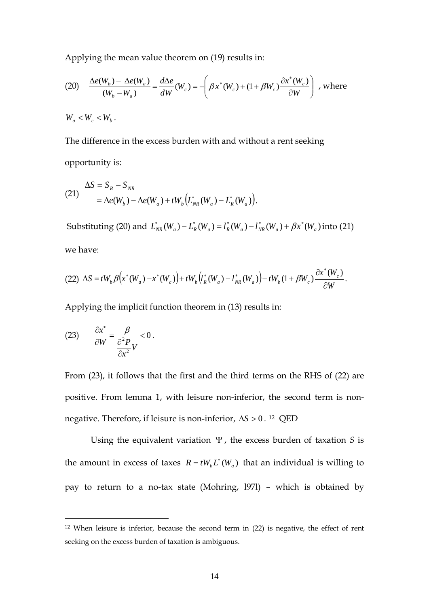Applying the mean value theorem on (19) results in:

(20) 
$$
\frac{\Delta e(W_b) - \Delta e(W_a)}{(W_b - W_a)} = \frac{d\Delta e}{dW}(W_c) = -\left(\beta x^*(W_c) + (1 + \beta W_c) \frac{\partial x^*(W_c)}{\partial W}\right), \text{ where}
$$

 $W_a < W_c < W_b$ .

The difference in the excess burden with and without a rent seeking opportunity is:

(21) 
$$
\Delta S = S_R - S_{NR} \n= \Delta e(W_b) - \Delta e(W_a) + tW_b (L_{NR}^*(W_a) - L_R^*(W_a)).
$$

Substituting (20) and  $L_{NR}^*(W_a) - L_R^*(W_a) = l_R^*(W_a) - l_{NR}^*(W_a) + \beta x^*(W_a)$  into (21) we have:

$$
(22)\ \Delta S = tW_b \beta(x^*(W_a) - x^*(W_c)) + tW_b\big(t_R^*(W_a) - t_{NR}^*(W_a)\big) - tW_b(1 + \beta W_c)\frac{\partial x^*(W_c)}{\partial W}.
$$

Applying the implicit function theorem in (13) results in:

(23) 
$$
\frac{\partial x^*}{\partial W} = \frac{\beta}{\frac{\partial^2 P}{\partial x^2}V} < 0.
$$

 $\overline{a}$ 

From (23), it follows that the first and the third terms on the RHS of (22) are positive. From lemma 1, with leisure non-inferior, the second term is nonnegative. Therefore, if leisure is non-inferior, ∆*S* > 0 . *1F* 12 QED

Using the equivalent variation Ψ , the excess burden of taxation *S* is the amount in excess of taxes  $R = tW_b L^* (W_a)$  that an individual is willing to pay to return to a no-tax state (Mohring, l97l) – which is obtained by

<sup>12</sup> When leisure is inferior, because the second term in (22) is negative, the effect of rent seeking on the excess burden of taxation is ambiguous.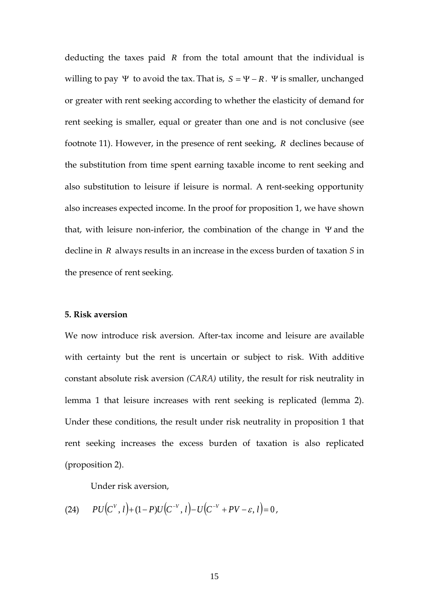deducting the taxes paid *R* from the total amount that the individual is willing to pay Ψ to avoid the tax. That is,  $S = Ψ - R$ . Ψ is smaller, unchanged or greater with rent seeking according to whether the elasticity of demand for rent seeking is smaller, equal or greater than one and is not conclusive (see footnote 11). However, in the presence of rent seeking, *R* declines because of the substitution from time spent earning taxable income to rent seeking and also substitution to leisure if leisure is normal. A rent-seeking opportunity also increases expected income. In the proof for proposition 1, we have shown that, with leisure non-inferior, the combination of the change in Ψ and the decline in *R* always results in an increase in the excess burden of taxation *S* in the presence of rent seeking.

### **5. Risk aversion**

We now introduce risk aversion. After-tax income and leisure are available with certainty but the rent is uncertain or subject to risk. With additive constant absolute risk aversion *(CARA)* utility, the result for risk neutrality in lemma 1 that leisure increases with rent seeking is replicated (lemma 2). Under these conditions, the result under risk neutrality in proposition 1 that rent seeking increases the excess burden of taxation is also replicated (proposition 2).

Under risk aversion,

(24) 
$$
PU(C^{V}, l) + (1 - P)U(C^{-V}, l) - U(C^{-V} + PV - \varepsilon, l) = 0,
$$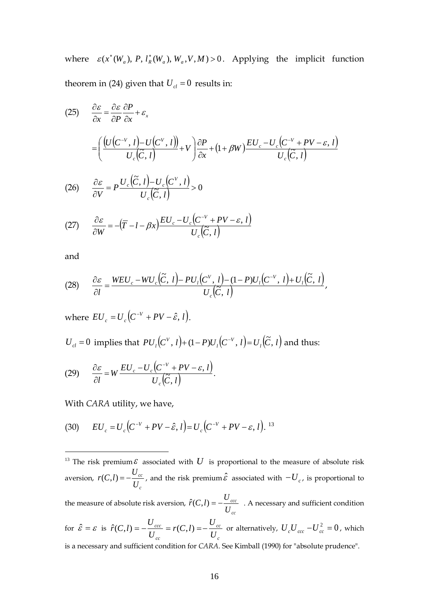where  $\varepsilon$ ( $x^*(W_a)$ , P,  $l_R^*(W_a)$ ,  $W_a$ ,  $V$ ,  $M$ ) > 0. Applying the implicit function theorem in (24) given that  $U_{cl} = 0$  results in:

(25) 
$$
\frac{\partial \varepsilon}{\partial x} = \frac{\partial \varepsilon}{\partial P} \frac{\partial P}{\partial x} + \varepsilon_x
$$

$$
= \left( \frac{U(C^{-V}, l) - U(C^{V}, l)}{U_c(\tilde{C}, l)} + V \right) \frac{\partial P}{\partial x} + (1 + \beta W) \frac{EU_c - U_c(C^{-V} + PV - \varepsilon, l)}{U_c(\tilde{C}, l)}
$$

(26) 
$$
\frac{\partial \varepsilon}{\partial V} = P \frac{U_c(\tilde{C}, l) - U_c(C^V, l)}{U_c(\tilde{C}, l)} > 0
$$

(27) 
$$
\frac{\partial \varepsilon}{\partial W} = -(\overline{T} - l - \beta x) \frac{EU_c - U_c (C^{-V} + PV - \varepsilon, l)}{U_c (\widetilde{C}, l)}
$$

and

$$
(28) \qquad \frac{\partial \varepsilon}{\partial l} = \frac{WEU_c - WU_c(\tilde{C}, l) - PU_l(C^V, l) - (1 - P)U_l(C^{-V}, l) + U_l(\tilde{C}, l)}{U_c(\tilde{C}, l)},
$$

where  $EU_c = U_c (C^{-V} + PV - \hat{\varepsilon}, l).$ 

 $U_{cl} = 0$  implies that  $PU_{l}(C^{V}, l) + (1 - P)U_{l}(C^{-V}, l) = U_{l}(\tilde{C}, l)$ *l*  $U_{l}(C^{V}, l) + (1 - P)U_{l}(C^{-V}, l) = U_{l}(\tilde{C}, l)$  and thus:

$$
(29) \qquad \frac{\partial \varepsilon}{\partial l} = W \frac{EU_c - U_c \left( C^{-V} + PV - \varepsilon, l \right)}{U_c \left( \widetilde{C}, l \right)}.
$$

With *CARA* utility, we have,

(30) 
$$
EU_c = U_c (C^{-V} + PV - \hat{\varepsilon}, l) = U_c (C^{-V} + PV - \varepsilon, l).
$$
<sup>13</sup>

<sup>&</sup>lt;sup>13</sup> The risk premium  $\varepsilon$  associated with  $U$  is proportional to the measure of absolute risk aversion, *c cc U*  $r(C, l) = -\frac{U_{cc}}{U}$ , and the risk premium $\hat{\varepsilon}$  associated with  $-U_c$ , is proportional to the measure of absolute risk aversion, *cc ccc U*  $\hat{r}(C,l) = -\frac{U_{ccc}}{V}$ . A necessary and sufficient condition for  $\hat{\varepsilon} = \varepsilon$  is *c cc cc ccc U U*  $r(C, l)$ *U*  $\hat{r}(C,l) = -\frac{U_{ccc}}{U} = r(C,l) = -\frac{U_{cc}}{U}$  or alternatively,  $U_c U_{ccc} - U_{cc}^2 = 0$ , which is a necessary and sufficient condition for *CARA*. See Kimball (1990) for "absolute prudence".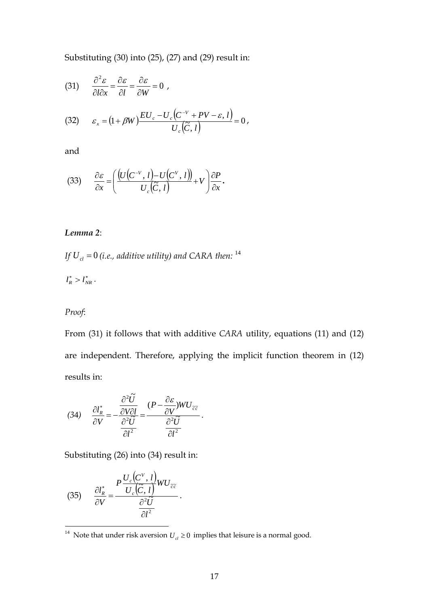Substituting (30) into (25), (27) and (29) result in:

(31) 
$$
\frac{\partial^2 \varepsilon}{\partial l \partial x} = \frac{\partial \varepsilon}{\partial l} = \frac{\partial \varepsilon}{\partial W} = 0,
$$

(32) 
$$
\varepsilon_{x} = (1 + \beta W) \frac{EU_{c} - U_{c}(C^{-V} + PV - \varepsilon, l)}{U_{c}(\widetilde{C}, l)} = 0,
$$

and

$$
(33) \qquad \frac{\partial \varepsilon}{\partial x} = \left( \frac{\left( U\left( C^{-V}, l \right) - U\left( C^{V}, l \right) \right)}{U_c\left( C, l \right)} + V \right) \frac{\partial P}{\partial x}.
$$

# *Lemma 2*:

If  $U_{cl}$  =  $0$  (i.e., additive utility) and CARA then:  $^{14}$ 

$$
l_R^* > l_{NR}^*.
$$

# *Proof*:

From (31) it follows that with additive *CARA* utility, equations (11) and (12) are independent. Therefore, applying the implicit function theorem in (12) results in:

(34) 
$$
\frac{\partial l_R^*}{\partial V} = -\frac{\frac{\partial^2 \tilde{U}}{\partial V \partial l}}{\frac{\partial^2 \tilde{U}}{\partial l^2}} = \frac{(P - \frac{\partial \varepsilon}{\partial V})WU_{\tilde{c}\tilde{c}}}{\frac{\partial^2 \tilde{U}}{\partial l^2}}.
$$

Substituting (26) into (34) result in:

(35) 
$$
\frac{\partial l_R^*}{\partial V} = \frac{P \frac{U_c \left( C^V, l \right)}{U_c \left( \tilde{C}, l \right)} W U_{\tilde{c}\tilde{c}}}{\frac{\partial^2 \tilde{U}}{\partial l^2}}.
$$

<sup>&</sup>lt;sup>14</sup> Note that under risk aversion  $U_{cl} \ge 0$  implies that leisure is a normal good.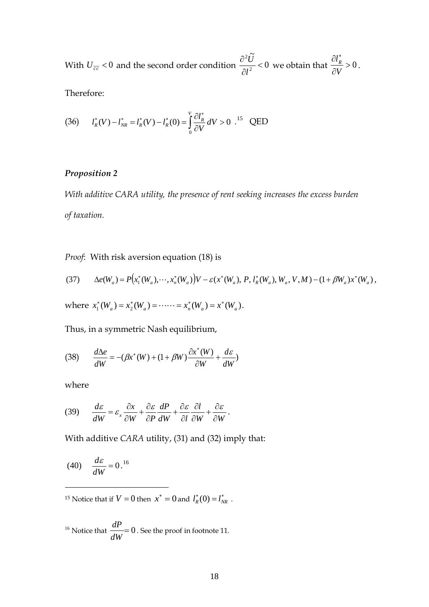With  $U_{\tilde{c}\tilde{c}} < 0$  and the second order condition  $\frac{U_{\tilde{c}}}{2L^2} < 0$ .<br>آ 2 2  $\overline{\phantom{a}}$ ∂ ∂ *l*  $\frac{\partial U}{\partial x^2}$  < 0 we obtain that  $\frac{\partial l^*_R}{\partial x^2}$  > 0 ∂  $\partial l^*_{\kappa}$ *V*  $\frac{dR}{dr} > 0$ .

Therefore:

(36) 
$$
l_R^*(V) - l_{NR}^* = l_R^*(V) - l_R^*(0) = \int_0^V \frac{\partial l_R^*}{\partial V} dV > 0
$$
<sup>15</sup> QED

# *Proposition 2*

*With additive CARA utility, the presence of rent seeking increases the excess burden of taxation.*

*Proof*: With risk aversion equation (18) is

$$
(37) \qquad \Delta e(W_a) = P(x_1^*(W_a), \cdots, x_n^*(W_a))V - \varepsilon(x^*(W_a), P, l_R^*(W_a), W_a, V, M) - (1 + \beta W_a)x^*(W_a),
$$

where  $x_1^*(W_a) = x_2^*(W_a) = \cdots = x_n^*(W_a) = x^*(W_a)$ .

Thus, in a symmetric Nash equilibrium,

(38) 
$$
\frac{d\Delta e}{dW} = -(\beta x^*(W) + (1 + \beta W) \frac{\partial x^*(W)}{\partial W} + \frac{d\varepsilon}{dW})
$$

where

 $\overline{a}$ 

$$
(39) \qquad \frac{d\varepsilon}{dW} = \varepsilon_x \frac{\partial x}{\partial W} + \frac{\partial \varepsilon}{\partial P} \frac{dP}{dW} + \frac{\partial \varepsilon}{\partial l} \frac{\partial l}{\partial W} + \frac{\partial \varepsilon}{\partial W}.
$$

With additive *CARA* utility, (31) and (32) imply that:

$$
(40) \quad \frac{d\varepsilon}{dW} = 0.^{16}
$$

<sup>15</sup> Notice that if  $V = 0$  then  $x^* = 0$  and  $l_R^*(0) = l_{NR}^*$ .

<sup>16</sup> Notice that 
$$
\frac{dP}{dW} = 0
$$
. See the proof in footnote 11.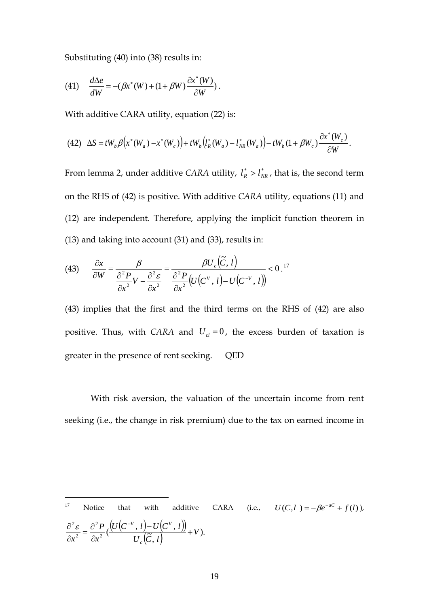Substituting (40) into (38) results in:

(41) 
$$
\frac{d\Delta e}{dW} = -(\beta x^*(W) + (1 + \beta W) \frac{\partial x^*(W)}{\partial W}).
$$

With additive CARA utility, equation (22) is:

$$
(42)\quad \Delta S = tW_b \beta(x^*(W_a) - x^*(W_c)) + tW_b\left(l_R^*(W_a) - l_{NR}^*(W_a)\right) - tW_b(1 + \beta W_c)\frac{\partial x^*(W_c)}{\partial W}.
$$

From lemma 2, under additive *CARA* utility,  $l_R^* > l_{NR}^*$ , that is, the second term on the RHS of (42) is positive. With additive *CARA* utility, equations (11) and (12) are independent. Therefore, applying the implicit function theorem in (13) and taking into account (31) and (33), results in:

$$
(43) \qquad \frac{\partial x}{\partial W} = \frac{\beta}{\frac{\partial^2 P}{\partial x^2}V - \frac{\partial^2 \varepsilon}{\partial x^2}} = \frac{\beta U_c(\tilde{C}, l)}{\frac{\partial^2 P}{\partial x^2} (U(C^V, l) - U(C^{-V}, l))} < 0.^{17}
$$

(43) implies that the first and the third terms on the RHS of (42) are also positive. Thus, with *CARA* and  $U_{cl} = 0$ , the excess burden of taxation is greater in the presence of rent seeking. QED

With risk aversion, the valuation of the uncertain income from rent seeking (i.e., the change in risk premium) due to the tax on earned income in

17 Notice that with additive CARA (i.e.,  $U(C, l) = -\beta e^{-aC} + f(l)$ ),  $(U(C^{-V}, l) - U(C^{V}, l))$  $\frac{d^2P}{dx^2}(\frac{\left(U\left(C^{-V},\ l\right)-U\left(C^{V},\ l\right)\right)}{U_c\left(\widetilde C,\ l\right)}+V).$ 2 2 *V*  $U_c$ <sub>*c*</sub> $C, l$  $U(C^{-V}, l) - U(C^{V}, l)$ *x P*  $x^2$   $\partial x^2$  *U*<sub>c</sub>  $\frac{V}{Z}$ ,  $l$ ) –  $U(C^V, l)$ ) +  $\frac{\partial^2 \varepsilon}{\partial x^2} = \frac{\partial^2 P}{\partial x^2} \left( \frac{U (C^{-1})^2}{2} \right)$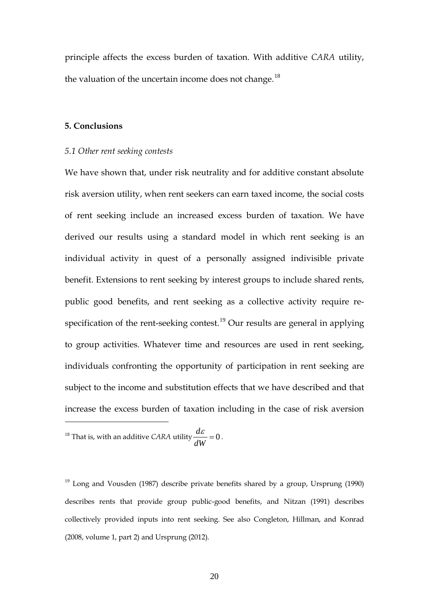principle affects the excess burden of taxation. With additive *CARA* utility, the valuation of the uncertain income does not change.<sup>18</sup>

# **5. Conclusions**

#### *5.1 Other rent seeking contests*

We have shown that, under risk neutrality and for additive constant absolute risk aversion utility, when rent seekers can earn taxed income, the social costs of rent seeking include an increased excess burden of taxation. We have derived our results using a standard model in which rent seeking is an individual activity in quest of a personally assigned indivisible private benefit. Extensions to rent seeking by interest groups to include shared rents, public good benefits, and rent seeking as a collective activity require respecification of the rent-seeking contest.<sup>19</sup> Our results are general in applying to group activities. Whatever time and resources are used in rent seeking, individuals confronting the opportunity of participation in rent seeking are subject to the income and substitution effects that we have described and that increase the excess burden of taxation including in the case of risk aversion

<sup>18</sup> That is, with an additive *CARA* utility  $\frac{ac}{dx} = 0$ *dW*  $\frac{d\varepsilon}{\sqrt{1-\varepsilon}}=0$ .

 $\overline{a}$ 

 $19$  Long and Vousden (1987) describe private benefits shared by a group, Ursprung (1990) describes rents that provide group public-good benefits, and Nitzan (1991) describes collectively provided inputs into rent seeking. See also Congleton, Hillman, and Konrad (2008, volume 1, part 2) and Ursprung (2012).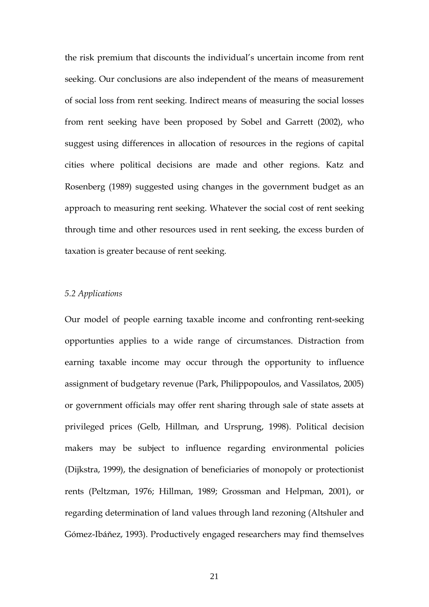the risk premium that discounts the individual's uncertain income from rent seeking. Our conclusions are also independent of the means of measurement of social loss from rent seeking. Indirect means of measuring the social losses from rent seeking have been proposed by Sobel and Garrett (2002), who suggest using differences in allocation of resources in the regions of capital cities where political decisions are made and other regions. Katz and Rosenberg (1989) suggested using changes in the government budget as an approach to measuring rent seeking. Whatever the social cost of rent seeking through time and other resources used in rent seeking, the excess burden of taxation is greater because of rent seeking.

### *5.2 Applications*

Our model of people earning taxable income and confronting rent-seeking opportunties applies to a wide range of circumstances. Distraction from earning taxable income may occur through the opportunity to influence assignment of budgetary revenue (Park, Philippopoulos, and Vassilatos, 2005) or government officials may offer rent sharing through sale of state assets at privileged prices (Gelb, Hillman, and Ursprung, 1998). Political decision makers may be subject to influence regarding environmental policies (Dijkstra, 1999), the designation of beneficiaries of monopoly or protectionist rents (Peltzman, 1976; Hillman, 1989; Grossman and Helpman, 2001), or regarding determination of land values through land rezoning (Altshuler and Gómez-Ibáňez, 1993). Productively engaged researchers may find themselves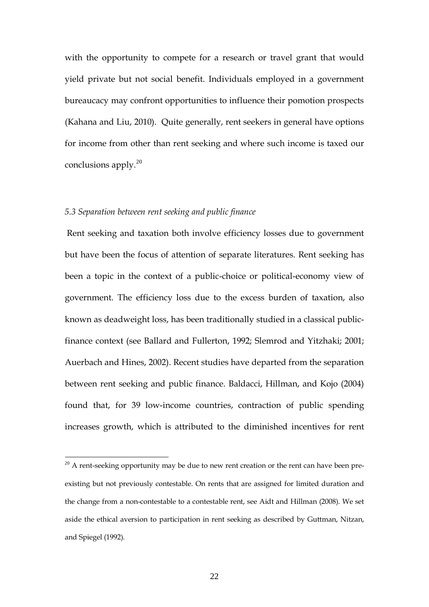with the opportunity to compete for a research or travel grant that would yield private but not social benefit. Individuals employed in a government bureaucacy may confront opportunities to influence their pomotion prospects (Kahana and Liu, 2010). Quite generally, rent seekers in general have options for income from other than rent seeking and where such income is taxed our conclusions apply.<sup>20</sup>

### *5.3 Separation between rent seeking and public finance*

Rent seeking and taxation both involve efficiency losses due to government but have been the focus of attention of separate literatures. Rent seeking has been a topic in the context of a public-choice or political-economy view of government. The efficiency loss due to the excess burden of taxation, also known as deadweight loss, has been traditionally studied in a classical publicfinance context (see Ballard and Fullerton, 1992; Slemrod and Yitzhaki; 2001; Auerbach and Hines, 2002). Recent studies have departed from the separation between rent seeking and public finance. Baldacci, Hillman, and Kojo (2004) found that, for 39 low-income countries, contraction of public spending increases growth, which is attributed to the diminished incentives for rent

 $20$  A rent-seeking opportunity may be due to new rent creation or the rent can have been preexisting but not previously contestable. On rents that are assigned for limited duration and the change from a non-contestable to a contestable rent, see Aidt and Hillman (2008). We set aside the ethical aversion to participation in rent seeking as described by Guttman, Nitzan, and Spiegel (1992).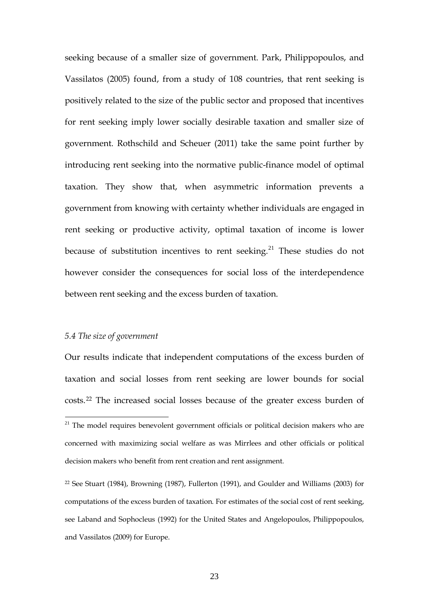seeking because of a smaller size of government. Park, Philippopoulos, and Vassilatos (2005) found, from a study of 108 countries, that rent seeking is positively related to the size of the public sector and proposed that incentives for rent seeking imply lower socially desirable taxation and smaller size of government. Rothschild and Scheuer (2011) take the same point further by introducing rent seeking into the normative public-finance model of optimal taxation. They show that, when asymmetric information prevents a government from knowing with certainty whether individuals are engaged in rent seeking or productive activity, optimal taxation of income is lower because of substitution incentives to rent seeking.<sup>21</sup> These studies do not however consider the consequences for social loss of the interdependence between rent seeking and the excess burden of taxation.

### *5.4 The size of government*

Our results indicate that independent computations of the excess burden of taxation and social losses from rent seeking are lower bounds for social costs.<sup>22</sup> The increased social losses because of the greater excess burden of

 $21$  The model requires benevolent government officials or political decision makers who are concerned with maximizing social welfare as was Mirrlees and other officials or political decision makers who benefit from rent creation and rent assignment.

<sup>22</sup> See Stuart (1984), Browning (1987), Fullerton (1991), and Goulder and Williams (2003) for computations of the excess burden of taxation. For estimates of the social cost of rent seeking, see Laband and Sophocleus (1992) for the United States and Angelopoulos, Philippopoulos, and Vassilatos (2009) for Europe.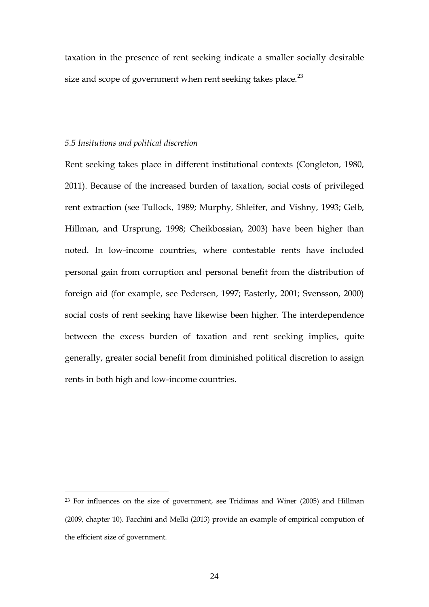taxation in the presence of rent seeking indicate a smaller socially desirable size and scope of government when rent seeking takes place.<sup>23</sup>

#### *5.5 Insitutions and political discretion*

 $\overline{a}$ 

Rent seeking takes place in different institutional contexts (Congleton, 1980, 2011). Because of the increased burden of taxation, social costs of privileged rent extraction (see Tullock, 1989; Murphy, Shleifer, and Vishny, 1993; Gelb, Hillman, and Ursprung, 1998; Cheikbossian, 2003) have been higher than noted. In low-income countries, where contestable rents have included personal gain from corruption and personal benefit from the distribution of foreign aid (for example, see Pedersen, 1997; Easterly, 2001; Svensson, 2000) social costs of rent seeking have likewise been higher. The interdependence between the excess burden of taxation and rent seeking implies, quite generally, greater social benefit from diminished political discretion to assign rents in both high and low-income countries.

<sup>23</sup> For influences on the size of government, see Tridimas and Winer (2005) and Hillman (2009, chapter 10). Facchini and Melki (2013) provide an example of empirical compution of the efficient size of government.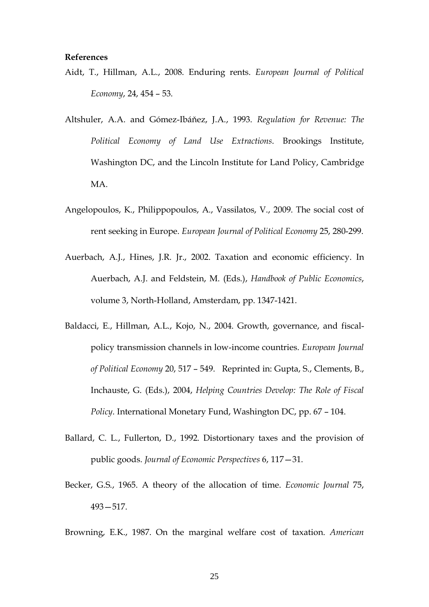#### **References**

- Aidt, T., Hillman, A.L., 2008. [Enduring rents.](http://www.sciencedirect.com/science?_ob=MImg&_imagekey=B6V97-4SFS0H9-1-3&_cdi=5891&_user=856235&_orig=browse&_coverDate=09%2F30%2F2008&_sk=999759996&view=c&wchp=dGLbVtz-zSkzV&md5=12375d09a16760b5eb6524a14cb9d8d0&ie=/sdarticle.pdf) *European Journal of Political Economy*, 24, 454 – 53.
- Altshuler, A.A. and Gómez-Ibáňez, J.A., 1993. *Regulation for Revenue: The Political Economy of Land Use Extractions*. Brookings Institute, Washington DC, and the Lincoln Institute for Land Policy, Cambridge MA.
- Angelopoulos, K., Philippopoulos, A., Vassilatos, V., 2009. [The social cost of](http://www.sciencedirect.com/science/article/pii/S0176268009000548)  [rent seeking in Europe.](http://www.sciencedirect.com/science/article/pii/S0176268009000548) *European Journal of Political Economy* 25, 280-299.
- Auerbach, A.J., Hines, J.R. Jr., 2002. Taxation and economic efficiency. In Auerbach, A.J. and Feldstein, M. (Eds.), *Handbook of Public Economics*, volume 3, North-Holland, Amsterdam, pp. 1347-1421.
- Baldacci, E., Hillman, A.L., Kojo, N., 2004. [Growth, governance, and fiscal](http://www.sciencedirect.com/science?_ob=MImg&_imagekey=B6V97-4BHVJ4D-4-9&_cdi=5891&_orig=browse&_coverDate=09%2F30%2F2004&_sk=999799996&view=c&wchp=dGLbVlb-zSkWA&_acct=C000046180&_version=1&_userid=856235&md5=17ba2df1db4f1e2ccf1203ab1af0267c&i%20)[policy transmission channels in low-income countries.](http://www.sciencedirect.com/science?_ob=MImg&_imagekey=B6V97-4BHVJ4D-4-9&_cdi=5891&_orig=browse&_coverDate=09%2F30%2F2004&_sk=999799996&view=c&wchp=dGLbVlb-zSkWA&_acct=C000046180&_version=1&_userid=856235&md5=17ba2df1db4f1e2ccf1203ab1af0267c&i%20) *European Journal of Political Economy* 20, 517 – 549. Reprinted in: Gupta, S., Clements, B., Inchauste, G. (Eds.), 2004, *[Helping Countries Develop: The Role of Fiscal](http://www.imf.org/external/pubs/nft/2004/hcd/index.htm)  [Policy](http://www.imf.org/external/pubs/nft/2004/hcd/index.htm)*. International Monetary Fund, Washington DC, pp. 67 – 104.
- Ballard, C. L., Fullerton, D., 1992. Distortionary taxes and the provision of public goods. *Journal of Economic Perspectives* 6, 117—31.
- Becker, G.S., 1965. A theory of the allocation of time. *Economic Journal* 75, 493—517.

Browning, E.K., 1987. On the marginal welfare cost of taxation. *American*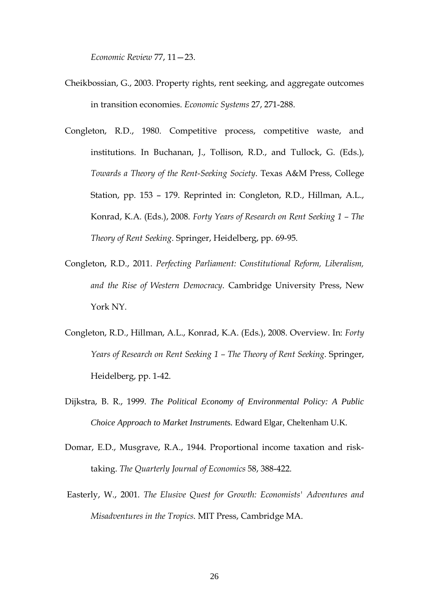*Economic Review* 77, 11—23.

- Cheikbossian, G., 2003. Property rights, rent seeking, and aggregate outcomes in transition economies. *Economic Systems* 27, 271-288.
- Congleton, R.D., 1980. Competitive process, competitive waste, and institutions. In Buchanan, J., Tollison, R.D., and Tullock, G. (Eds.), *Towards a Theory of the Rent-Seeking Society*. Texas A&M Press, College Station, pp. 153 – 179. Reprinted in: Congleton, R.D., Hillman, A.L., Konrad, K.A. (Eds.), 2008. *Forty Years of Research on Rent Seeking 1 – The Theory of Rent Seeking*. Springer, Heidelberg, pp. 69-95.
- Congleton, R.D., 2011. *[Perfecting Parliament: Constitutional Reform, Liberalism,](http://www.cambridge.org/catalogue/catalogue.asp?isbn=9780521151696)  [and the Rise of Western Democracy](http://www.cambridge.org/catalogue/catalogue.asp?isbn=9780521151696)*. Cambridge University Press, New York NY.
- Congleton, R.D., Hillman, A.L., Konrad, K.A. (Eds.), 2008. Overview. In: *Forty Years of Research on Rent Seeking 1 – The Theory of Rent Seeking*. Springer, Heidelberg, pp. 1-42.
- Dijkstra, B. R., 1999. *The Political Economy of Environmental Policy: A Public Choice Approach to Market Instrument*s. Edward Elgar, Cheltenham U.K.
- Domar, E.D., Musgrave, R.A., 1944. Proportional income taxation and risktaking. *The Quarterly Journal of Economics* 58, 388-422.
- Easterly, W., 2001. *The Elusive Quest for Growth: Economists' Adventures and Misadventures in the Tropics*. MIT Press, Cambridge MA.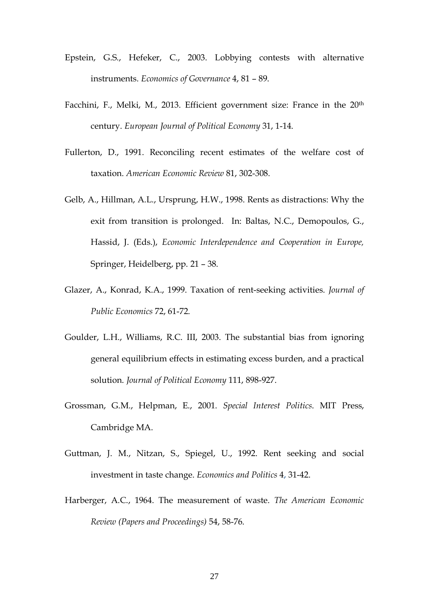- Epstein, G.S., Hefeker, C., 2003. Lobbying contests with alternative instruments. *Economics of Governance* 4, 81 – 89.
- Facchini, F., Melki, M., 2013. Efficient government size: France in the 20<sup>th</sup> century. *European Journal of Political Economy* 31, 1-14.
- Fullerton, D., 1991. Reconciling recent estimates of the welfare cost of taxation. *American Economic Review* 81, 302-308.
- Gelb, A., Hillman, A.L., Ursprung, H.W., 1998. [Rents as distractions: Why the](http://faculty.biu.ac.il/~hillman/books/Rents%20as%20distractions.pdf)  [exit from transition is prolonged.](http://faculty.biu.ac.il/~hillman/books/Rents%20as%20distractions.pdf) In: Baltas, N.C., Demopoulos, G., Hassid, J. (Eds.), *[Economic Interdependence and Cooperation in Europe,](http://www.springer.de/cgi/svcat/search_book.pl?isbn=3-540-64008-8¤cy=Euro&language=English&lastResult=http%3A%2F%2Fwww.springer.de%2Fsearch97cgi%2Fs97_cgi%3F%26fulltextQuery%3DHillman%26fulltextOperator%3D%253C%2523AND%253E%26umlaute%3Do%20)* Springer, Heidelberg, pp. 21 – 38.
- Glazer, A., Konrad, K.A., 1999. [Taxation of rent-seeking activities.](http://www.sciencedirect.com/science/article/pii/S004727279800084X) *Journal of Public Economics* 72, 61-72.
- Goulder, L.H., Williams, R.C. III, 2003. The substantial bias from ignoring general equilibrium effects in estimating excess burden, and a practical solution. *Journal of Political Economy* 111, 898-927.
- Grossman, G.M., Helpman, E., 2001. *Special Interest Politics*. MIT Press, Cambridge MA.
- Guttman, J. M., Nitzan, S., Spiegel, U., 1992. Rent seeking and social investment in taste change. *Economics and Politics* 4, 31-42.
- Harberger, A.C., 1964. The measurement of waste. *The American Economic Review (Papers and Proceedings)* 54, 58-76.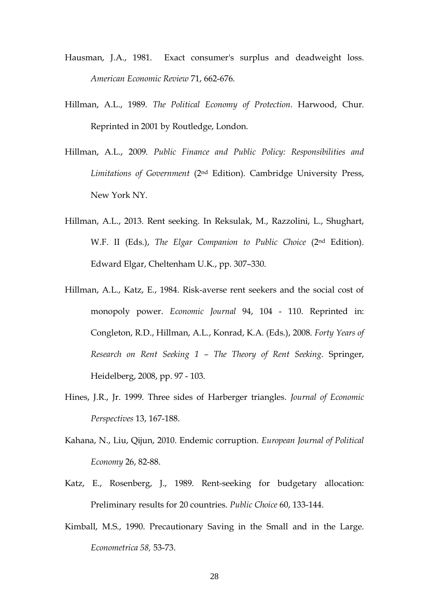- Hausman, J.A., 1981. Exact consumer's surplus and deadweight loss. *American Economic Review* 71, 662-676.
- Hillman, A.L., 1989. *The Political Economy of Protection*. Harwood, Chur. Reprinted in 2001 by Routledge, London.
- Hillman, A.L., 2009. *Public Finance and Public Policy: Responsibilities and Limitations of Government* (2nd Edition). Cambridge University Press, New York NY.
- Hillman, A.L., 2013. Rent seeking. In Reksulak, M., Razzolini, L., Shughart, W.F. II (Eds.), *The Elgar Companion to Public Choice* (2nd Edition). Edward Elgar, Cheltenham U.K., pp. 307–330.
- Hillman, A.L., Katz, E., 1984. Risk-averse rent seekers and the social cost of monopoly power. *Economic Journal* 94, 104 - 110. Reprinted in: Congleton, R.D., Hillman, A.L., Konrad, K.A. (Eds.), 2008. *Forty Years of Research on Rent Seeking 1 – The Theory of Rent Seeking*. Springer, Heidelberg, 2008, pp. 97 - 103.
- Hines, J.R., Jr. 1999. Three sides of Harberger triangles. *Journal of Economic Perspectives* 13, 167-188.
- Kahana, N., Liu, Qijun, 2010. Endemic corruption. *European Journal of Political Economy* 26, 82-88.
- Katz, E., Rosenberg, J., 1989. Rent-seeking for budgetary allocation: Preliminary results for 20 countries. *Public Choice* 60, 133-144.
- Kimball, M.S., 1990. Precautionary Saving in the Small and in the Large. *Econometrica 58,* 53-73.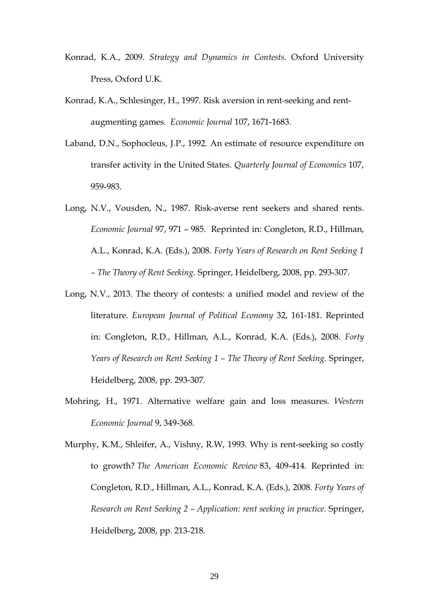- Konrad, K.A., 2009. *Strategy and Dynamics in Contests*. Oxford University Press, Oxford U.K.
- Konrad, K.A., Schlesinger, H., 1997. Risk aversion in rent-seeking and rentaugmenting games. *Economic Journal* 107, 1671-1683*.*
- Laband, D.N., Sophocleus, J.P., 1992. An estimate of resource expenditure on transfer activity in the United States. *Quarterly Journal of Economics* 107, 959-983.
- Long, N.V., Vousden, N., 1987. Risk-averse rent seekers and shared rents. *Economic Journal* 97, 971 – 985. Reprinted in: Congleton, R.D., Hillman, A.L., Konrad, K.A. (Eds.), 2008. *Forty Years of Research on Rent Seeking 1 – The Theory of Rent Seeking*. Springer, Heidelberg, 2008, pp. 293-307.
- Long, N.V., 2013. The theory of contests: a unified model and review of the literature. *European Journal of Political Economy* 32, 161-181. Reprinted in: Congleton, R.D., Hillman, A.L., Konrad, K.A. (Eds.), 2008. *Forty Years of Research on Rent Seeking 1 – The Theory of Rent Seeking*. Springer, Heidelberg, 2008, pp. 293-307.
- Mohring, H., 1971. Alternative welfare gain and loss measures. *Western Economic Journal* 9, 349-368.
- Murphy, K.M., Shleifer, A., Vishny, R.W, 1993. Why is rent-seeking so costly to growth? *The American Economic Review* 83, 409-414. Reprinted in: Congleton, R.D., Hillman, A.L., Konrad, K.A. (Eds.), 2008. *Forty Years of Research on Rent Seeking 2 – Application: rent seeking in practice.* Springer, Heidelberg, 2008, pp. 213-218.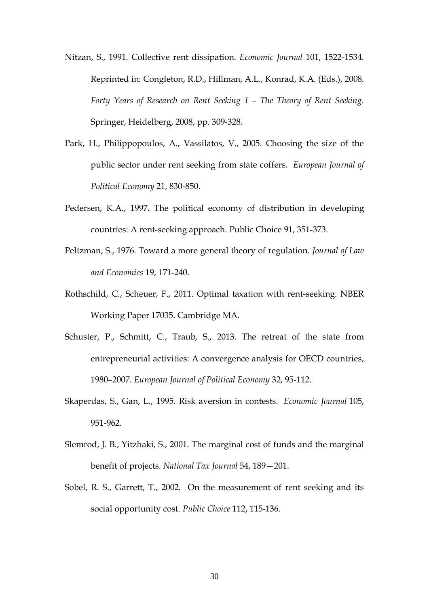- Nitzan, S., 1991. Collective rent dissipation. *Economic Journal* 101, 1522-1534. Reprinted in: Congleton, R.D., Hillman, A.L., Konrad, K.A. (Eds.), 2008. *Forty Years of Research on Rent Seeking 1 – The Theory of Rent Seeking*. Springer, Heidelberg, 2008, pp. 309-328.
- Park, H., Philippopoulos, A., Vassilatos, V., 2005. [Choosing the size of the](http://www.sciencedirect.com/science/article/pii/S0176268005000352)  [public sector under rent seeking from state coffers.](http://www.sciencedirect.com/science/article/pii/S0176268005000352) *European Journal of Political Economy* 21, 830-850.
- Pedersen, K.A., 1997. The political economy of distribution in developing countries: A rent-seeking approach. Public Choice 91, 351-373.
- Peltzman, S., 1976. Toward a more general theory of regulation. *Journal of Law and Economics* 19, 171-240.
- Rothschild, C., Scheuer, F., 2011. Optimal taxation with rent-seeking. NBER Working Paper 17035. Cambridge MA.
- Schuster, P., Schmitt, C., Traub, S., 2013. [The retreat of the state from](http://www.sciencedirect.com/science/article/pii/S0176268013000414)  [entrepreneurial activities: A convergence analysis for OECD countries,](http://www.sciencedirect.com/science/article/pii/S0176268013000414)  [1980–2007.](http://www.sciencedirect.com/science/article/pii/S0176268013000414) *European Journal of Political Economy* 32, 95-112.
- Skaperdas, S., Gan, L., 1995. Risk aversion in contests. *Economic Journal* 105, 951-962.
- Slemrod, J. B., Yitzhaki, S., 2001. The marginal cost of funds and the marginal benefit of projects. *National Tax Journal* 54, 189—201.
- Sobel, R. S., Garrett, T., 2002. On the measurement of rent seeking and its social opportunity cost. *Public Choice* 112, 115-136.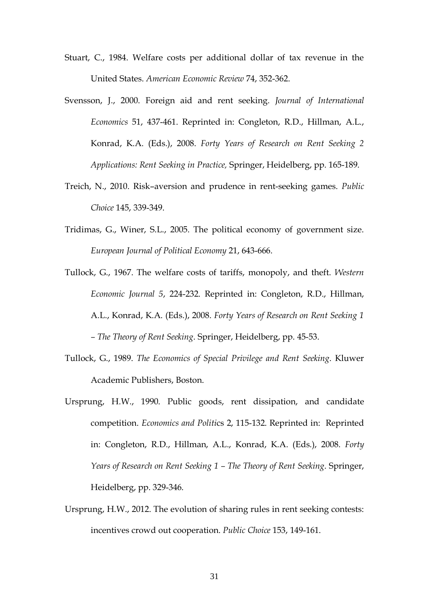- Stuart, C., 1984. Welfare costs per additional dollar of tax revenue in the United States. *American Economic Review* 74, 352-362.
- Svensson, J., 2000. Foreign aid and rent seeking. *Journal of International Economics* 51, 437-461. Reprinted in: Congleton, R.D., Hillman, A.L., Konrad, K.A. (Eds.), 2008. *Forty Years of Research on Rent Seeking 2 Applications: Rent Seeking in Practice,* Springer, Heidelberg, pp. 165-189.
- Treich, N., 2010. Risk–aversion and prudence in rent-seeking games. *Public Choice* 145, 339-349.
- Tridimas, G., Winer, S.L., 2005. [The political economy of government size.](http://www.sciencedirect.com/science/article/pii/S0176268004001284) *European Journal of Political Economy* 21, 643-666.
- Tullock, G., 1967. The welfare costs of tariffs, monopoly, and theft. *Western Economic Journal 5*, 224-232. Reprinted in: Congleton, R.D., Hillman, A.L., Konrad, K.A. (Eds.), 2008. *Forty Years of Research on Rent Seeking 1 – The Theory of Rent Seeking*. Springer, Heidelberg, pp. 45-53.
- Tullock, G., 1989. *The Economics of Special Privilege and Rent Seeking*. Kluwer Academic Publishers, Boston.
- Ursprung, H.W., 1990. Public goods, rent dissipation, and candidate competition. *Economics and Politi*cs 2, 115-132. Reprinted in: Reprinted in: Congleton, R.D., Hillman, A.L., Konrad, K.A. (Eds.), 2008. *Forty Years of Research on Rent Seeking 1 – The Theory of Rent Seeking*. Springer, Heidelberg, pp. 329-346.
- Ursprung, H.W., 2012. The evolution of sharing rules in rent seeking contests: incentives crowd out cooperation. *Public Choice* 153, 149-161.